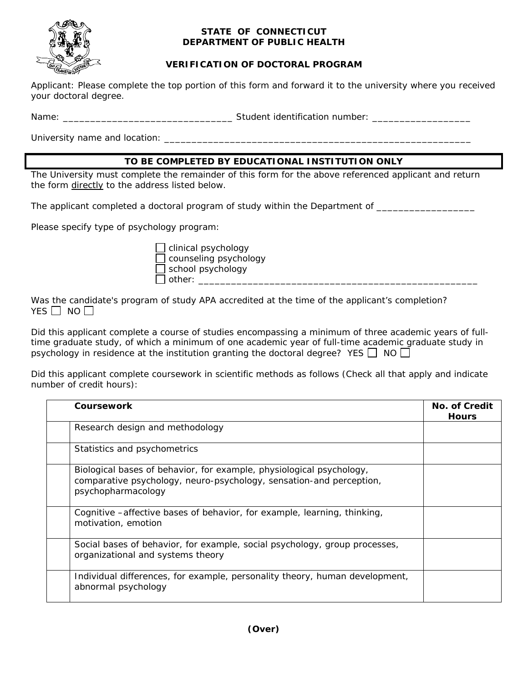

## **STATE OF CONNECTICUT DEPARTMENT OF PUBLIC HEALTH**

## **VERIFICATION OF DOCTORAL PROGRAM**

Applicant: Please complete the top portion of this form and forward it to the university where you received your doctoral degree.

Name: \_\_\_\_\_\_\_\_\_\_\_\_\_\_\_\_\_\_\_\_\_\_\_\_\_\_\_\_\_\_\_ Student identification number: \_\_\_\_\_\_\_\_\_\_\_\_\_\_\_\_\_\_

University name and location: \_\_\_\_\_\_\_\_\_\_\_\_\_\_\_\_\_\_\_\_\_\_\_\_\_\_\_\_\_\_\_\_\_\_\_\_\_\_\_\_\_\_\_\_\_\_\_\_\_\_\_\_\_\_\_\_

## **TO BE COMPLETED BY EDUCATIONAL INSTITUTION ONLY**

The University must complete the remainder of this form for the above referenced applicant and return the form directly to the address listed below.

The applicant completed a doctoral program of study within the Department of \_\_\_\_\_\_\_\_\_\_\_\_\_\_\_\_\_\_\_\_\_\_\_\_\_\_\_\_\_\_\_\_\_

Please specify type of psychology program:

 clinical psychology counseling psychology school psychology  $]$  other:  $\qquad \qquad$ 

Was the candidate's program of study APA accredited at the time of the applicant's completion? YES  $\Box$  NO  $\Box$ 

Did this applicant complete a course of studies encompassing a minimum of three academic years of fulltime graduate study, of which a minimum of one academic year of full-time academic graduate study in psychology in residence at the institution granting the doctoral degree? YES  $\Box$  NO  $\Box$ 

Did this applicant complete coursework in scientific methods as follows (Check all that apply and indicate number of credit hours):

| Coursework                                                                                                                                                        | No. of Credit<br><b>Hours</b> |
|-------------------------------------------------------------------------------------------------------------------------------------------------------------------|-------------------------------|
| Research design and methodology                                                                                                                                   |                               |
| Statistics and psychometrics                                                                                                                                      |                               |
| Biological bases of behavior, for example, physiological psychology,<br>comparative psychology, neuro-psychology, sensation-and perception,<br>psychopharmacology |                               |
| Cognitive – affective bases of behavior, for example, learning, thinking,<br>motivation, emotion                                                                  |                               |
| Social bases of behavior, for example, social psychology, group processes,<br>organizational and systems theory                                                   |                               |
| Individual differences, for example, personality theory, human development,<br>abnormal psychology                                                                |                               |